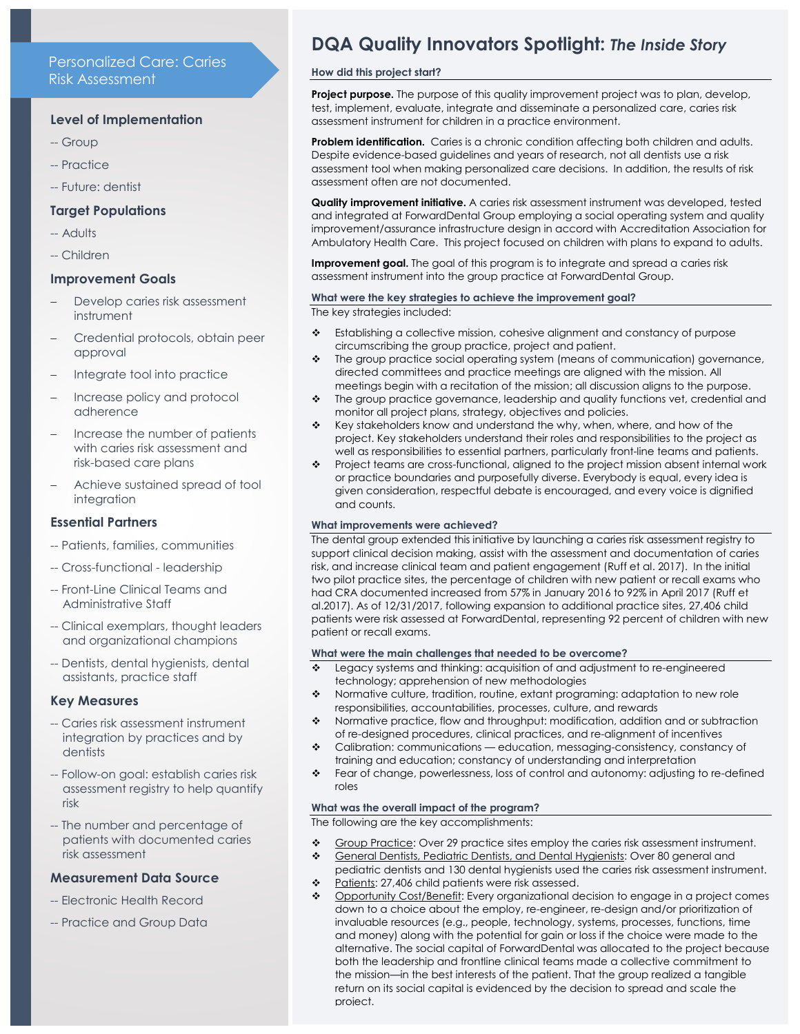# Personalized Care: Caries Risk Assessment

## **Level of Implementation**

- -- Group
- -- Practice
- -- Future: dentist

## **Target Populations**

- -- Adults
- -- Children

### **Improvement Goals**

- Develop caries risk assessment instrument
- Credential protocols, obtain peer approval
- Integrate tool into practice
- Increase policy and protocol adherence
- Increase the number of patients with caries risk assessment and risk-based care plans
- Achieve sustained spread of tool **integration**

## **Essential Partners**

- -- Patients, families, communities
- -- Cross-functional leadership
- -- Front-Line Clinical Teams and Administrative Staff
- -- Clinical exemplars, thought leaders and organizational champions
- -- Dentists, dental hygienists, dental assistants, practice staff

#### **Key Measures**

- -- Caries risk assessment instrument integration by practices and by dentists
- -- Follow-on goal: establish caries risk assessment registry to help quantify risk
- -- The number and percentage of patients with documented caries risk assessment

#### **Measurement Data Source**

- -- Electronic Health Record
- -- Practice and Group Data

# **DQA Quality Innovators Spotlight:** *The Inside Story*

## **How did this project start?**

**Project purpose.** The purpose of this quality improvement project was to plan, develop, test, implement, evaluate, integrate and disseminate a personalized care, caries risk assessment instrument for children in a practice environment.

**Problem identification.** Caries is a chronic condition affecting both children and adults. Despite evidence-based guidelines and years of research, not all dentists use a risk assessment tool when making personalized care decisions. In addition, the results of risk assessment often are not documented.

**Quality improvement initiative.** A caries risk assessment instrument was developed, tested and integrated at ForwardDental Group employing a social operating system and quality improvement/assurance infrastructure design in accord with Accreditation Association for Ambulatory Health Care. This project focused on children with plans to expand to adults.

**Improvement goal.** The goal of this program is to integrate and spread a caries risk assessment instrument into the group practice at ForwardDental Group.

### **What were the key strategies to achieve the improvement goal?**

The key strategies included:

- Establishing a collective mission, cohesive alignment and constancy of purpose circumscribing the group practice, project and patient.
- \* The group practice social operating system (means of communication) governance, directed committees and practice meetings are aligned with the mission. All meetings begin with a recitation of the mission; all discussion aligns to the purpose.
- \* The group practice governance, leadership and quality functions vet, credential and monitor all project plans, strategy, objectives and policies.
- $\div$  Key stakeholders know and understand the why, when, where, and how of the project. Key stakeholders understand their roles and responsibilities to the project as well as responsibilities to essential partners, particularly front-line teams and patients.
- Project teams are cross-functional, aligned to the project mission absent internal work or practice boundaries and purposefully diverse. Everybody is equal, every idea is given consideration, respectful debate is encouraged, and every voice is dignified and counts.

#### **What improvements were achieved?**

The dental group extended this initiative by launching a caries risk assessment registry to support clinical decision making, assist with the assessment and documentation of caries risk, and increase clinical team and patient engagement (Ruff et al. 2017). In the initial two pilot practice sites, the percentage of children with new patient or recall exams who had CRA documented increased from 57% in January 2016 to 92% in April 2017 (Ruff et al.2017). As of 12/31/2017, following expansion to additional practice sites, 27,406 child patients were risk assessed at ForwardDental, representing 92 percent of children with new patient or recall exams.

#### **What were the main challenges that needed to be overcome?**

- Legacy systems and thinking: acquisition of and adjustment to re-engineered technology; apprehension of new methodologies
- Normative culture, tradition, routine, extant programing: adaptation to new role responsibilities, accountabilities, processes, culture, and rewards
- Normative practice, flow and throughput: modification, addition and or subtraction of re-designed procedures, clinical practices, and re-alignment of incentives
- Calibration: communications education, messaging-consistency, constancy of training and education; constancy of understanding and interpretation
- Fear of change, powerlessness, loss of control and autonomy: adjusting to re-defined roles

#### **What was the overall impact of the program?**

The following are the key accomplishments:

- Group Practice: Over 29 practice sites employ the caries risk assessment instrument.
- General Dentists, Pediatric Dentists, and Dental Hygienists: Over 80 general and pediatric dentists and 130 dental hygienists used the caries risk assessment instrument.
- \* Patients: 27,406 child patients were risk assessed.
- Opportunity Cost/Benefit: Every organizational decision to engage in a project comes down to a choice about the employ, re-engineer, re-design and/or prioritization of invaluable resources (e.g., people, technology, systems, processes, functions, time and money) along with the potential for gain or loss if the choice were made to the alternative. The social capital of ForwardDental was allocated to the project because both the leadership and frontline clinical teams made a collective commitment to the mission—in the best interests of the patient. That the group realized a tangible return on its social capital is evidenced by the decision to spread and scale the project.